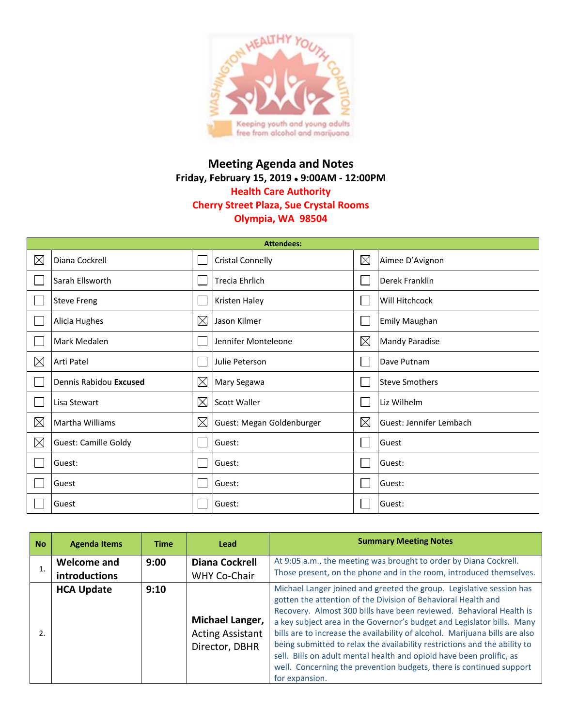

## **Meeting Agenda and Notes Friday, February 15, 2019 9:00AM - 12:00PM Health Care Authority Cherry Street Plaza, Sue Crystal Rooms Olympia, WA 98504**

| <b>Attendees:</b> |                             |             |                           |             |                         |  |
|-------------------|-----------------------------|-------------|---------------------------|-------------|-------------------------|--|
| $\boxtimes$       | Diana Cockrell              |             | <b>Cristal Connelly</b>   | $\boxtimes$ | Aimee D'Avignon         |  |
|                   | Sarah Ellsworth             |             | <b>Trecia Ehrlich</b>     |             | Derek Franklin          |  |
|                   | <b>Steve Freng</b>          |             | Kristen Haley             |             | Will Hitchcock          |  |
|                   | Alicia Hughes               | $\boxtimes$ | Jason Kilmer              |             | <b>Emily Maughan</b>    |  |
|                   | Mark Medalen                |             | Jennifer Monteleone       | $\boxtimes$ | <b>Mandy Paradise</b>   |  |
| $\boxtimes$       | Arti Patel                  |             | Julie Peterson            |             | Dave Putnam             |  |
|                   | Dennis Rabidou Excused      | $\boxtimes$ | Mary Segawa               |             | <b>Steve Smothers</b>   |  |
|                   | Lisa Stewart                | $\boxtimes$ | <b>Scott Waller</b>       |             | Liz Wilhelm             |  |
| $\boxtimes$       | Martha Williams             | $\boxtimes$ | Guest: Megan Goldenburger | $\boxtimes$ | Guest: Jennifer Lembach |  |
| $\boxtimes$       | <b>Guest: Camille Goldy</b> |             | Guest:                    |             | Guest                   |  |
|                   | Guest:                      |             | Guest:                    |             | Guest:                  |  |
|                   | Guest                       |             | Guest:                    |             | Guest:                  |  |
|                   | Guest                       |             | Guest:                    |             | Guest:                  |  |

| <b>No</b> | <b>Agenda Items</b>                 | <b>Time</b> | Lead                                                         | <b>Summary Meeting Notes</b>                                                                                                                                                                                                                                                                                                                                                                                                                                                                                                                                                                                        |
|-----------|-------------------------------------|-------------|--------------------------------------------------------------|---------------------------------------------------------------------------------------------------------------------------------------------------------------------------------------------------------------------------------------------------------------------------------------------------------------------------------------------------------------------------------------------------------------------------------------------------------------------------------------------------------------------------------------------------------------------------------------------------------------------|
|           | Welcome and<br><b>introductions</b> | 9:00        | <b>Diana Cockrell</b><br>WHY Co-Chair                        | At 9:05 a.m., the meeting was brought to order by Diana Cockrell.<br>Those present, on the phone and in the room, introduced themselves.                                                                                                                                                                                                                                                                                                                                                                                                                                                                            |
|           | <b>HCA Update</b>                   | 9:10        | Michael Langer,<br><b>Acting Assistant</b><br>Director, DBHR | Michael Langer joined and greeted the group. Legislative session has<br>gotten the attention of the Division of Behavioral Health and<br>Recovery. Almost 300 bills have been reviewed. Behavioral Health is<br>a key subject area in the Governor's budget and Legislator bills. Many<br>bills are to increase the availability of alcohol. Marijuana bills are also<br>being submitted to relax the availability restrictions and the ability to<br>sell. Bills on adult mental health and opioid have been prolific, as<br>well. Concerning the prevention budgets, there is continued support<br>for expansion. |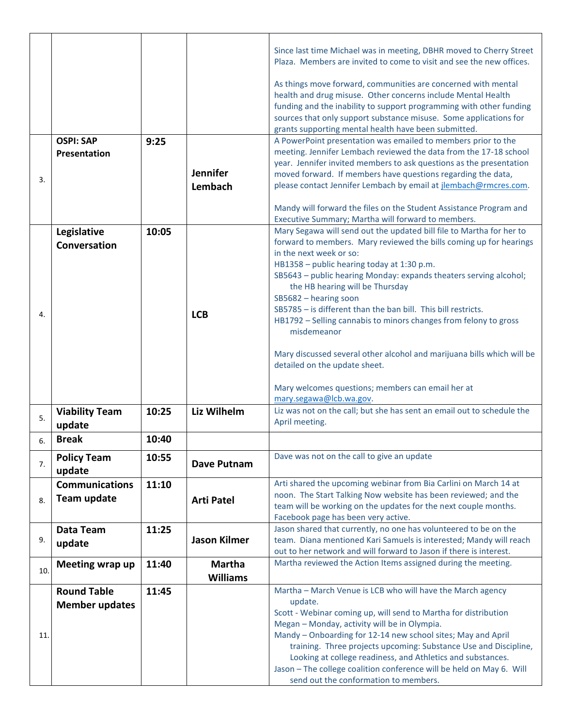| Since last time Michael was in meeting, DBHR moved to Cherry Street                                                                      |
|------------------------------------------------------------------------------------------------------------------------------------------|
| Plaza. Members are invited to come to visit and see the new offices.                                                                     |
| As things move forward, communities are concerned with mental                                                                            |
| health and drug misuse. Other concerns include Mental Health                                                                             |
| funding and the inability to support programming with other funding<br>sources that only support substance misuse. Some applications for |
| grants supporting mental health have been submitted.                                                                                     |
| A PowerPoint presentation was emailed to members prior to the                                                                            |
| meeting. Jennifer Lembach reviewed the data from the 17-18 school<br>year. Jennifer invited members to ask questions as the presentation |
| moved forward. If members have questions regarding the data,                                                                             |
| please contact Jennifer Lembach by email at jlembach@rmcres.com.                                                                         |
| Mandy will forward the files on the Student Assistance Program and                                                                       |
| Executive Summary; Martha will forward to members.                                                                                       |
| Mary Segawa will send out the updated bill file to Martha for her to                                                                     |
| forward to members. Mary reviewed the bills coming up for hearings                                                                       |
|                                                                                                                                          |
| SB5643 - public hearing Monday: expands theaters serving alcohol;                                                                        |
|                                                                                                                                          |
| SB5785 - is different than the ban bill. This bill restricts.                                                                            |
| HB1792 - Selling cannabis to minors changes from felony to gross                                                                         |
|                                                                                                                                          |
| Mary discussed several other alcohol and marijuana bills which will be                                                                   |
|                                                                                                                                          |
|                                                                                                                                          |
| Mary welcomes questions; members can email her at                                                                                        |
| Liz was not on the call; but she has sent an email out to schedule the                                                                   |
|                                                                                                                                          |
|                                                                                                                                          |
|                                                                                                                                          |
| Arti shared the upcoming webinar from Bia Carlini on March 14 at                                                                         |
| noon. The Start Talking Now website has been reviewed; and the<br>team will be working on the updates for the next couple months.        |
|                                                                                                                                          |
| Jason shared that currently, no one has volunteered to be on the                                                                         |
| team. Diana mentioned Kari Samuels is interested; Mandy will reach                                                                       |
| out to her network and will forward to Jason if there is interest.                                                                       |
| Martha reviewed the Action Items assigned during the meeting.                                                                            |
| Martha - March Venue is LCB who will have the March agency                                                                               |
|                                                                                                                                          |
| Scott - Webinar coming up, will send to Martha for distribution<br>Megan - Monday, activity will be in Olympia.                          |
| Mandy - Onboarding for 12-14 new school sites; May and April                                                                             |
| training. Three projects upcoming: Substance Use and Discipline,                                                                         |
| Looking at college readiness, and Athletics and substances.                                                                              |
| Jason - The college coalition conference will be held on May 6. Will<br>send out the conformation to members.                            |
|                                                                                                                                          |